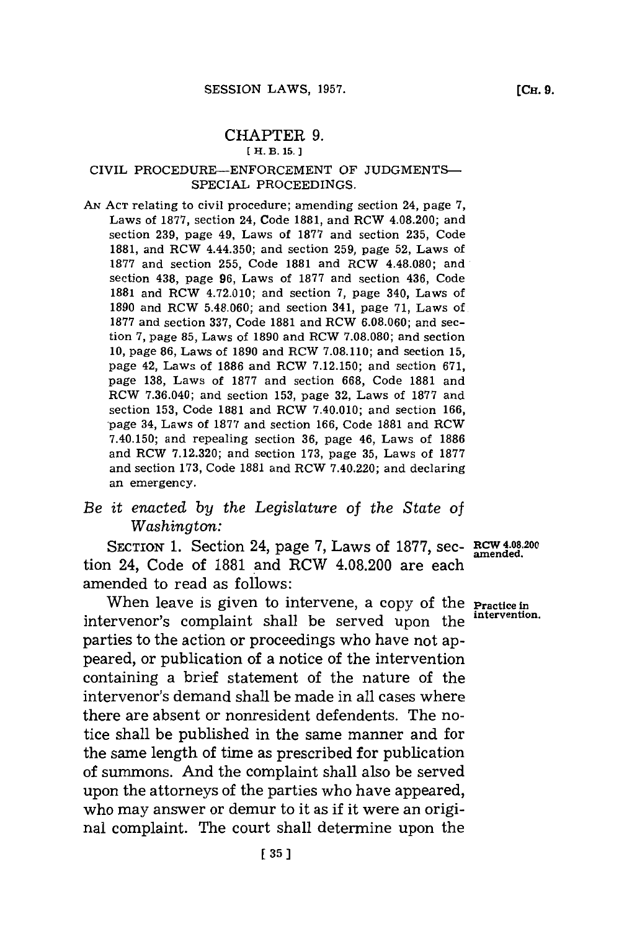## CHAPTER **9.**

## **[ H. B. 15.]**

## CIVIL **PROCEDURE-ENFORCEMENT** OF **JUDGMENTS\_** SPECIAL PROCEEDINGS.

**AN ACT** relating to civil procedure; amending section 24, page **7,** Laws of **1877,** section 24, Code **1881,** and RCW 4.08.200; and section **239,** page 49, Laws of **1877** and section **235,** Code **1881,** and RCW 4.44.350; and section **259,** page **52,** Laws of **1877** and section **255,** Code **1881** and RCW 4.48.080; and section 438, page **96,** Laws of **1877** and section 436, Code **1881** and RCW 4.72.010; and section **7,** page 340, Laws of **1890** and RCW **5.48.060;** and section 341, page **71,** Laws of **1877** and section **337,** Code **1881** and RCW **6.08.060;** and section **7,** page **85,** Laws of **1890** and RCW **7.08.080;** and section **10,** page **86,** Laws of **1890** and RCW **7.08.110;** and section **15,** page 42, Laws of **1886** and RCW **7.12.150;** and section **671,** page **138,** Laws of **1877** and section **668,** Code **1881** and RCW **7.36.040;** and section **153,** page **32,** Laws of **1877** and section **153,** Code **1881** and RCW 7.40.010; and section **166,** -page 34, Laws of **1877** and section **166,** Code **1881** and RCW 7.40.150; and repealing section **36,** page 46, Laws of **1886** and RCW **7.12.320;** and section **173,** page **35,** Laws of **1877** and section **173,** Code **1881** and RCW 7.40.220; and declaring an emergency.

## *Be it enacted by the Legislature of the State of Washington:*

SECTION **1.** Section 24, page **7,** Laws of **1877,** *sec-* RCW 4-0.200 tion 24, Code of **1881** and RCW 4.08.200 are each amended to read as follows:

When leave is given to intervene, a copy of the **Practice in**<br>
numeral accounts the line property of the intervention. intervenor's complaint shall be served upon the parties to the action or proceedings who have not appeared, or publication of a notice of the intervention containing a brief statement of the nature of the intervenor's demand shall be made in all cases where there are absent or nonresident defendents. The notice shall be published in the same manner and for the same length of time as prescribed for publication of summons. And the complaint shall also be served upon the attorneys of the parties who have appeared, who may answer or demur to it as if it were an original complaint. The court shall determine upon the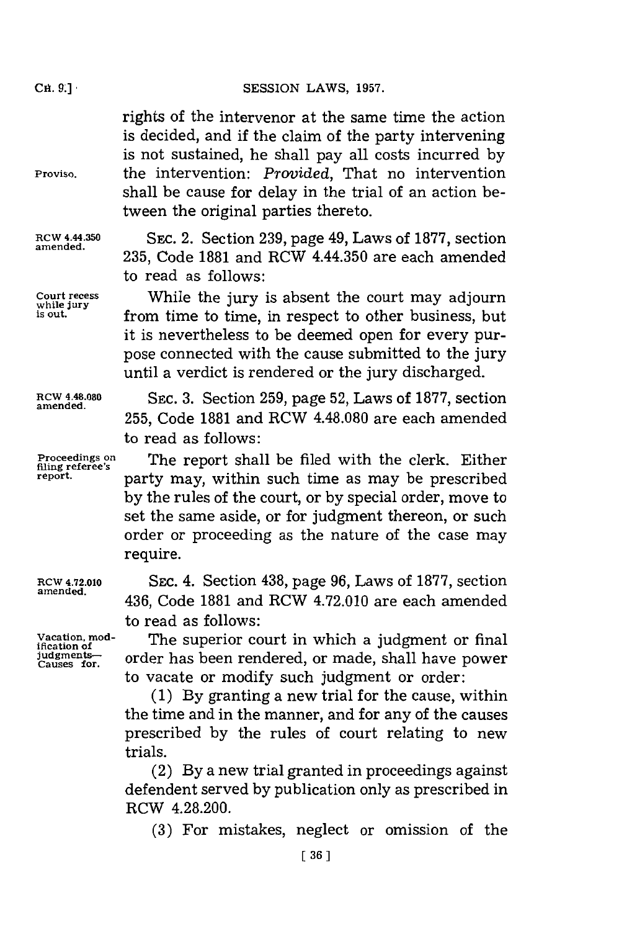rights of the intervenor at the same time the action is decided, and if the claim of the party intervening is not sustained, he shall pay all costs incurred **by Proviso,** the intervention: *Provided,* That no intervention shall be cause for delay in the trial of an action between the original parties thereto.

**RCW 4.44.350** SEc. 2. Section **239,** page 49, Laws of **1877,** section 235, Code 1881 and RCW 4.44.350 are each amended to read as follows:

**Court recess** While the jury is absent the court may adjourn **while jury is out,** from time to time, in respect to other business, but it is nevertheless to be deemed open for every purpose connected with the cause submitted to the jury until a verdict is rendered or the jury discharged.

**255,** Code **1881** and RCW 4.48.080 are each amended

**RCW 4.48.080** SEC. **3.** Section **259,** page **52,** Laws of **1877,** section **amended.**

filing referee's<br>report.

to read as follows:

**Proceedings on** The reort shall be filed with the clerk. Either party may, within such time as may be prescribed **by** the rules of the court, or **by** special order, move to set the same aside, or for judgment thereon, or such order or proceeding as the nature of the case may require.

**RCW 4.72.010** SEc. 4. Section 438, page **96,** Laws of **1877,** section 436, Code 1881 and RCW 4.72.010 are each amended to read as follows:

**Vacation, mod-** The superior court in which a judgment or final incation of  $\frac{1}{2}$  in  $\frac{1}{2}$  order has been rendered or made shall have nower judgment<del>s carefored and</del> order has been rendered, or made, shall have power to vacate or modify such judgment or order:

> **(1) By** granting a new trial for the cause, within the time and in the manner, and for any of the causes prescribed **by** the rules of court relating to new trials.

> (2) **By** a new trial granted in proceedings against defendent served **by** publication only as prescribed in RCW 4.28.200.

**(3)** For mistakes, neglect or omission of the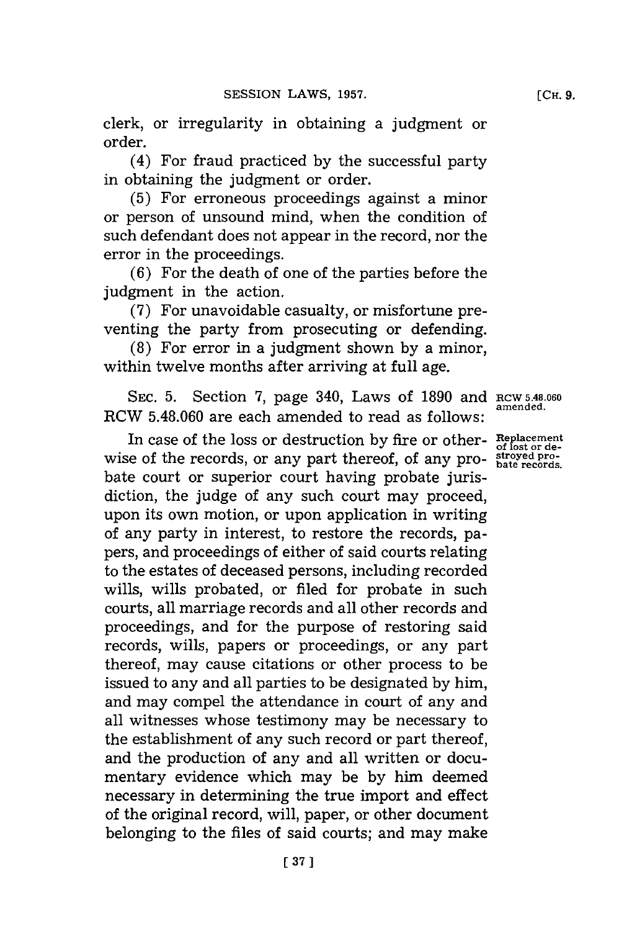clerk, or irregularity in obtaining a judgment or order.

(4) For fraud practiced **by** the successful party in obtaining the judgment or order.

**(5)** For erroneous proceedings against a minor or person of unsound mind, when the condition of such defendant does not appear in the record, nor the error in the proceedings.

**(6)** For the death of one of the parties before the judgment in the action.

**(7)** For unavoidable casualty, or misfortune preventing the party from prosecuting or defending.

**(8)** For error in a judgment shown **by** a minor, within twelve months after arriving at full age.

**SEC. 5.** Section **7,** page 340, Laws of **1890** and **RCW 5.48.060 amended.** RCW **5.48.060** are each amended to read as **follows:**

In case of the loss or destruction **by** fire or other- **Replacement** wise of the records, or any part thereof, of any pro- **blue** records, bate court or superior court having probate jurisdiction, the judge of any such court may proceed, upon its own motion, or upon application in writing of any party in interest, to restore the records, papers, and proceedings of either of said courts relating to the estates of deceased persons, including recorded wills, wills probated, or filed for probate in such courts, all marriage records and all other records and proceedings, and for the purpose of restoring said records, wills, papers or proceedings, or any part thereof, may cause citations or other process to be issued to any and all parties to be designated **by** him, and may compel the attendance in court of any and all witnesses whose testimony may be necessary to the establishment of any such record or part thereof, and the production of any and all written or documentary evidence which may be **by** him deemed necessary in determining the true import and effect of the original record, will, paper, or other document belonging to the files of said courts; and may make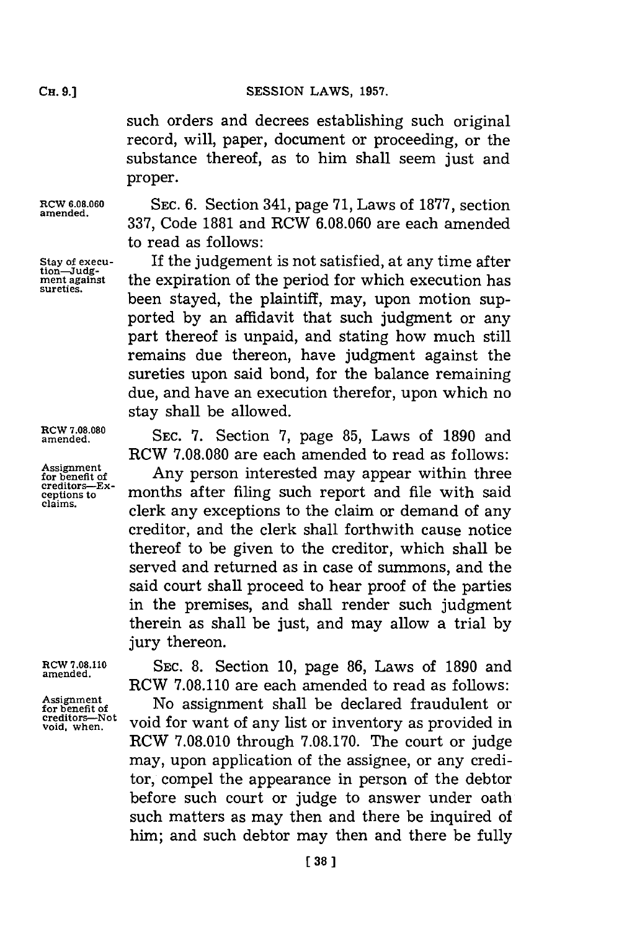such orders and decrees establishing such original record, will, paper, document or proceeding, or the substance thereof, as to him shall seem just and proper.

**ROW 6.08.060 amended.**

**stay ofexecu- tion-Judg-ment against sureties.**

**incw 7.08.080 amended.**

**Assignment for benefit of creditors-Excepios to**

**RCW 7.08.110 amended.**

**Assignment for benefi Of creditors-Not void, when.**

**SEC. 6.** Section 341, page **'71,** Laws of **1877,** section **337,** Code **1881** and RCW **6.08.060** are each amended to read as follows:

**If** the judgement is not satisfied, at any time after the expiration of the period for which execution has been stayed, the plaintiff, may, upon motion supported **by** an affidavit that such judgment or any part thereof is unpaid, and stating how much still remains due thereon, have judgment against the sureties upon said bond, for the balance remaining due, and have an execution therefor, upon which no stay shall be allowed.

**SEC. 7.** Section **7,** page **85,** Laws of **1890** and RCW **7.08.080** are each amended to read as follows:

Any person interested may appear within three months after filing such report and file with said clerk any exceptions to the claim or demand of any creditor, and the clerk shall forthwith cause notice thereof to be given to the creditor, which shall be served and returned as in case of summons, and the said court shall proceed to hear proof of the parties in the premises, and shall render such judgment therein as shall be just, and may allow a trial **by** jury thereon.

**SEC. 8.** Section **10,** page **86,** Laws of **1890** and RCW **7.08.110** are each amended to read as follows: No assignment shall be declared fraudulent or void for want of any list or inventory as provided in RCW **7.08.010** through **7.08.170.** The court or judge may, upon application of the assignee, or any creditor, compel the appearance in person of the debtor before such court or judge to answer under oath such matters as may then and there be inquired of him; and such debtor may then and there be fully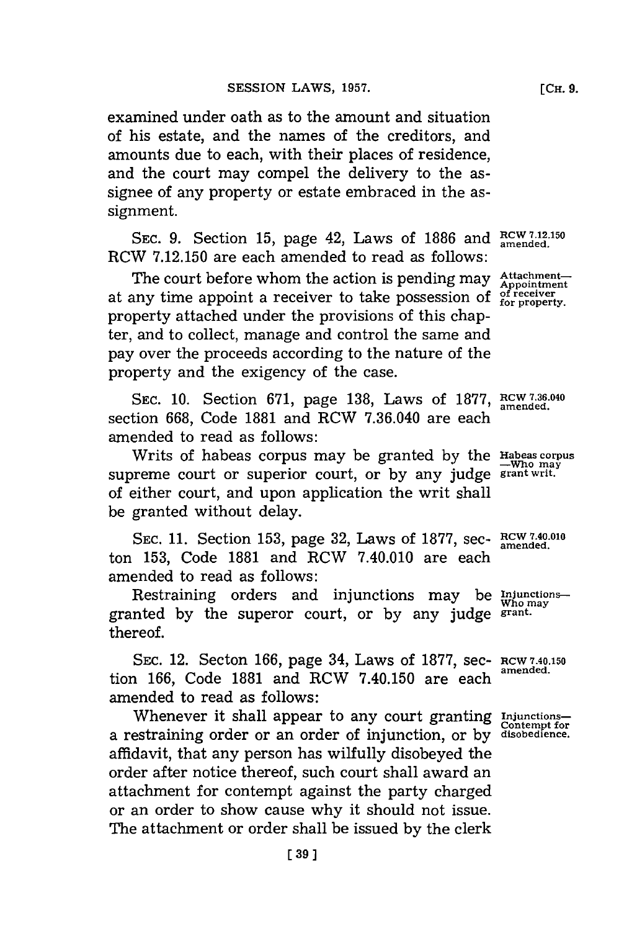examined under oath as to the amount and situation of his estate, and the names of the creditors, and amounts due to each, with their places of residence, and the court may compel the delivery to the assignee of any property or estate embraced in the assignment.

**SEC. 9.** Section **15,** page 42, Laws of **1886** and **RCW 7.12.150 amended.** RCW **7.12.150** are each amended to read as follows:

The court before whom the action is pending may Attachmentat any time appoint a receiver to take possession of <sup>of receiver</sup> for property. property attached under the provisions of this chapter, and to collect, manage and control the same and pay over the proceeds according to the nature of the property and the exigency of the case.

**SEC. 10.** Section **671,** page **138,** Laws of **1877,** RCW **7.36. <sup>4</sup> <sup>0</sup>** section **668,** Code **1881** and RCW **7.36.040** are each amended to read as follows:

Writs of habeas corpus may be granted **by** the **Habeas corpus** supreme court or superior court, or by any judge **grant writ**. of either court, and upon application the writ shall be granted without delay.

**SEC. 11.** Section **153,** page **32,** Laws of **1877,** sec- **RCW 7.40.010** ton **153,** Code **1881** and RCW 7.40.010 are each amended to read as follows:

Restraining orders and injunctions may be *Injunctions*granted **by** the superor court, or **by** any judge **grant.** thereof.

**SEC.** 12. Secton **166,** page 34, Laws of **1877,** sec- **RCW 7.40.150** tion 166, Code 1881 and RCW 7.40.150 are each amended to read as follows:

Whenever it shall appear to any court granting *Injunctions* a restraining order or an order of injunction, or **by disobedience.** affidavit, that any person has wilfully disobeyed the order after notice thereof, such court shall award an attachment for contempt against the party charged or an order to show cause why it should not issue. The attachment or order shall be issued **by** the clerk

**amended.**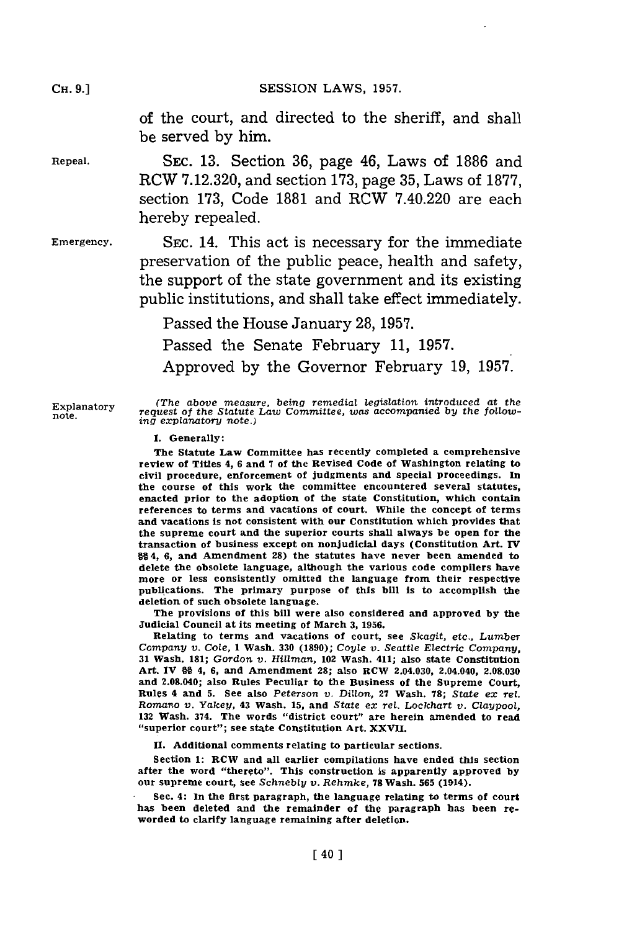CH **9.]SESSION** LAWS, **1957.**

of the court, and directed to the sheriff, and shall be served **by** him.

Repeal. SEc. **13.** Section **36,** page 46, Laws of **1886** and RCW **7.12.320,** and section **173,** page **35,** Laws of **1877,** section **173,** Code **1881** and RCW 7.40.220 are each hereby repealed.

Emergency. SEC. 14. This act is necessary for the immediate preservation of the public peace, health and safety, the support of the state government and its existing public institutions, and shall take effect immediately.

Passed the House January **28, 1957.**

Passed the Senate February **11, 1957.**

Approved **by** the Governor February **19, 1957.**

Explanatory *(The above measure, being remedial legislation introduced at the* request of the Statute Law Committee, was accompanied by the follow-<br>ing explanatory note.)

**1.** Generally:

The Statute Law Committee has recently completed a comprehensive review of Titles 4, **6** and **7** of the Revised Code **of** Washington relating to civil procedure, enforcement of judgments and special proceedings. In the course of this work the committee encountered several statutes, enacted prior to the adoption of the state Constitution, which contain references to terms and vacations of court. While the concept of terms and vacations is not consistent with our Constitution which provides that the supreme court and the superior courts shall always be open for the transaction of business except on nonjudiclal days (Constitution Art. **IV §§** 4, **6,** and Amendment 28) the statutes have never been amended to delete the obsolete language, although the various code compilers have more or less consistently omitted the language from their respective publications. The primary purpose of this bill Is to accomplish the deletion of such obsolete language.

The provisions of this bill were also considered and approved **by** the Judicial Council at its meeting of March **3, 1956.**

Relating to terms and vacations of court, see *Skagit, etc., Lumber Company v. Cole,* 1 Wash. **330 (1890);** *Coyle v. Seattle Electric Company,* **<sup>31</sup>**Wash. **181;** Gordon *v. Hillman,* 102 Wash. 411; also state Constitution Art. IV **§§** 4, **6,** and Amendment **28;** also RCW 2.04.030, 2.04.040, **2.08.030** and 2.08.040; also Rules Peculiar to the Business of the Supreme Court, Rules 4 and **5.** See also Peterson *v. Dillon,* **27** Wash. **78;** State *ex Tel. Romano* v. *Yakey,* 43 Wash. **15,** and State *ex ret. Lockhart v. Claypool,* **<sup>132</sup>**Wash. 374. The words "district court" are herein amended to read "superior court"; see slate Constitution Art. XXVII.

**11.** Additional comments relating to particular sections.

Section **1:** RCW and all earlier compilations have ended this section after the word "thereto". This construction is apparently approved **by** our supreme court, see *Schnebly* v. *Reftmke,* **78** Wash. **565** (1914).

Sec. 4: In the first paragraph, the language relating to terms of court has been deleted and the remainder of the paragraph has been reworded to clarify language remaining after deletion.